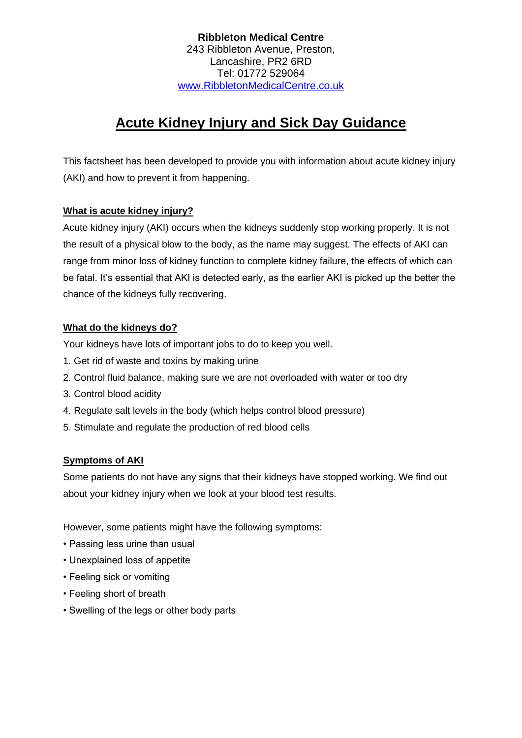## **Ribbleton Medical Centre** 243 Ribbleton Avenue, Preston, Lancashire, PR2 6RD Tel: 01772 529064 [www.RibbletonMedicalCentre.co.uk](http://www.ribbletonmedicalcentre.co.uk/)

# **Acute Kidney Injury and Sick Day Guidance**

This factsheet has been developed to provide you with information about acute kidney injury (AKI) and how to prevent it from happening.

# **What is acute kidney injury?**

Acute kidney injury (AKI) occurs when the kidneys suddenly stop working properly. It is not the result of a physical blow to the body, as the name may suggest. The effects of AKI can range from minor loss of kidney function to complete kidney failure, the effects of which can be fatal. It's essential that AKI is detected early, as the earlier AKI is picked up the better the chance of the kidneys fully recovering.

## **What do the kidneys do?**

Your kidneys have lots of important jobs to do to keep you well.

- 1. Get rid of waste and toxins by making urine
- 2. Control fluid balance, making sure we are not overloaded with water or too dry
- 3. Control blood acidity
- 4. Regulate salt levels in the body (which helps control blood pressure)
- 5. Stimulate and regulate the production of red blood cells

# **Symptoms of AKI**

Some patients do not have any signs that their kidneys have stopped working. We find out about your kidney injury when we look at your blood test results.

However, some patients might have the following symptoms:

- Passing less urine than usual
- Unexplained loss of appetite
- Feeling sick or vomiting
- Feeling short of breath
- Swelling of the legs or other body parts